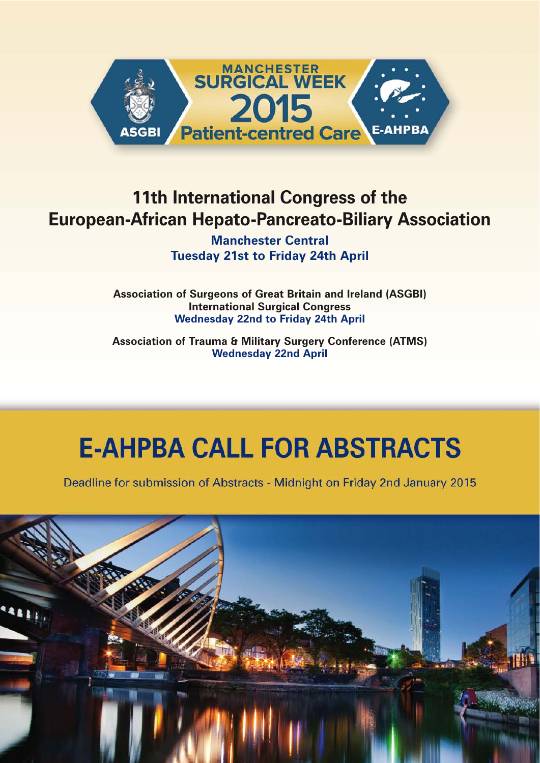

# **11th International Congress of the European-African Hepato-Pancreato-Biliary Association**

**Manchester Central Tuesday 21st to Friday 24th April**

**Association of Surgeons of Great Britain and Ireland (ASGBI) International Surgical Congress Wednesday 22nd to Friday 24th April**

**Association of Trauma & Military Surgery Conference (ATMS) Wednesday 22nd April**

# **E-AHPBA CALL FOR ABSTRACTS**

Deadline for submission of Abstracts - Midnight on Friday 2nd January 2015

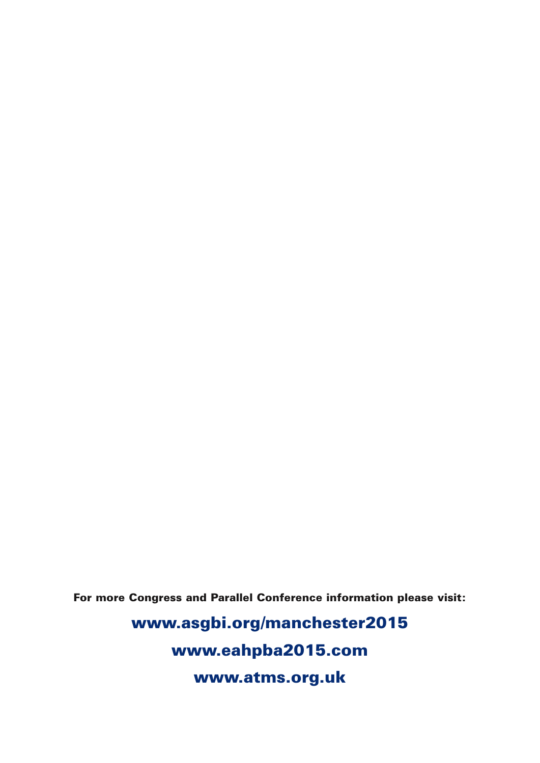**For more Congress and Parallel Conference information please visit:**

**www.asgbi.org/manchester2015 www.eahpba2015.com www.atms.org.uk**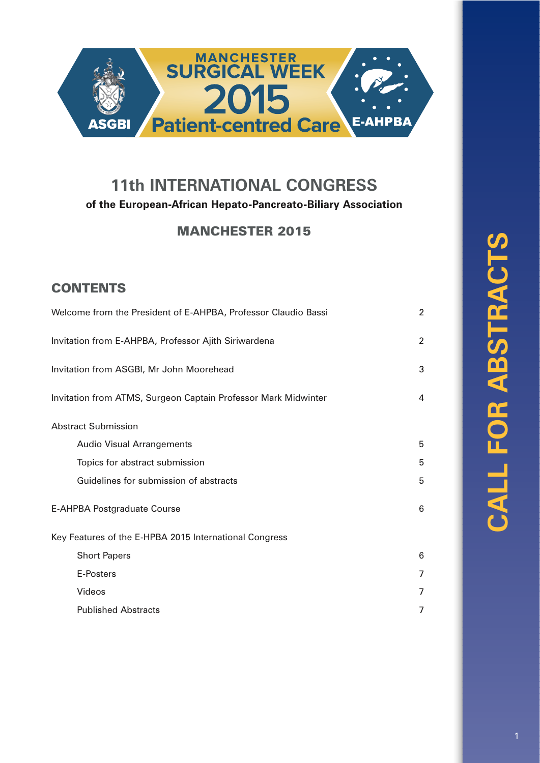

### **11th INTERNATIONAL CONGRESS of the European-African Hepato-Pancreato-Biliary Association**

### **MANCHESTER 2015**

### **CONTENTS**

| Welcome from the President of E-AHPBA, Professor Claudio Bassi | $\overline{2}$ |
|----------------------------------------------------------------|----------------|
| Invitation from E-AHPBA, Professor Ajith Siriwardena           | $\overline{c}$ |
| Invitation from ASGBI, Mr John Moorehead                       | 3              |
| Invitation from ATMS, Surgeon Captain Professor Mark Midwinter | 4              |
| <b>Abstract Submission</b>                                     |                |
| <b>Audio Visual Arrangements</b>                               | 5              |
| Topics for abstract submission                                 | 5              |
| Guidelines for submission of abstracts                         | 5              |
| E-AHPBA Postgraduate Course                                    | 6              |
| Key Features of the E-HPBA 2015 International Congress         |                |
| <b>Short Papers</b>                                            | 6              |
| E-Posters                                                      | 7              |
| Videos                                                         | 7              |
| <b>Published Abstracts</b>                                     | 7              |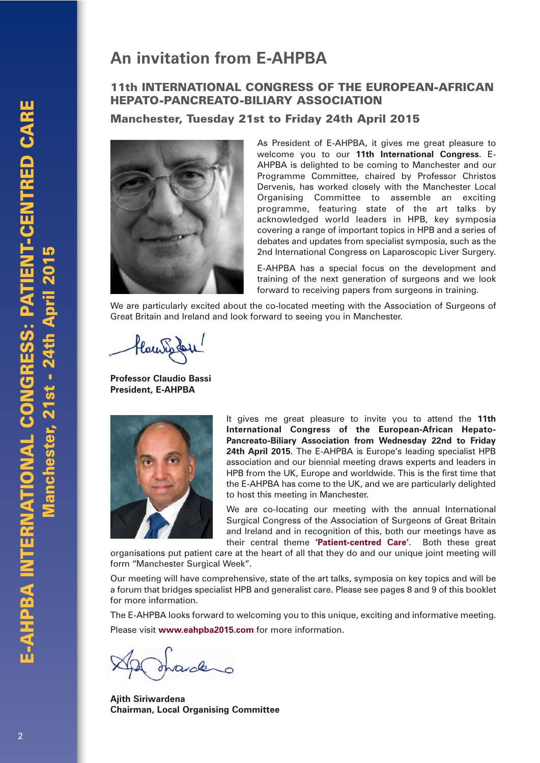## **An invitation from E-AHPBA**

#### **11th INTERNATIONAL CONGRESS OF THE EUROPEAN-AFRICAN HEPATO-PANCREATO-BILIARY ASSOCIATION**

**Manchester, Tuesday 21st to Friday 24th April 2015**



As President of E-AHPBA, it gives me great pleasure to welcome you to our **11th International Congress**. E-AHPBA is delighted to be coming to Manchester and our Programme Committee, chaired by Professor Christos Dervenis, has worked closely with the Manchester Local Organising Committee to assemble an exciting programme, featuring state of the art talks by acknowledged world leaders in HPB, key symposia covering a range of important topics in HPB and a series of debates and updates from specialist symposia, such as the 2nd International Congress on Laparoscopic Liver Surgery.

E-AHPBA has a special focus on the development and training of the next generation of surgeons and we look forward to receiving papers from surgeons in training.

We are particularly excited about the co-located meeting with the Association of Surgeons of Great Britain and Ireland and look forward to seeing you in Manchester.

Hay Inder

**Professor Claudio Bassi President, E-AHPBA**



It gives me great pleasure to invite you to attend the **11th International Congress of the European-African Hepato-Pancreato-Biliary Association from Wednesday 22nd to Friday 24th April 2015**. The E-AHPBA is Europe's leading specialist HPB association and our biennial meeting draws experts and leaders in HPB from the UK, Europe and worldwide. This is the first time that the E-AHPBA has come to the UK, and we are particularly delighted to host this meeting in Manchester.

We are co-locating our meeting with the annual International Surgical Congress of the Association of Surgeons of Great Britain and Ireland and in recognition of this, both our meetings have as their central theme **'Patient-centred Care'**. Both these great

organisations put patient care at the heart of all that they do and our unique joint meeting will form "Manchester Surgical Week".

Our meeting will have comprehensive, state of the art talks, symposia on key topics and will be a forum that bridges specialist HPB and generalist care. Please see pages 8 and 9 of this booklet for more information.

The E-AHPBA looks forward to welcoming you to this unique, exciting and informative meeting. Please visit **www.eahpba2015.com** for more information.

**Ajith Siriwardena Chairman, Local Organising Committee**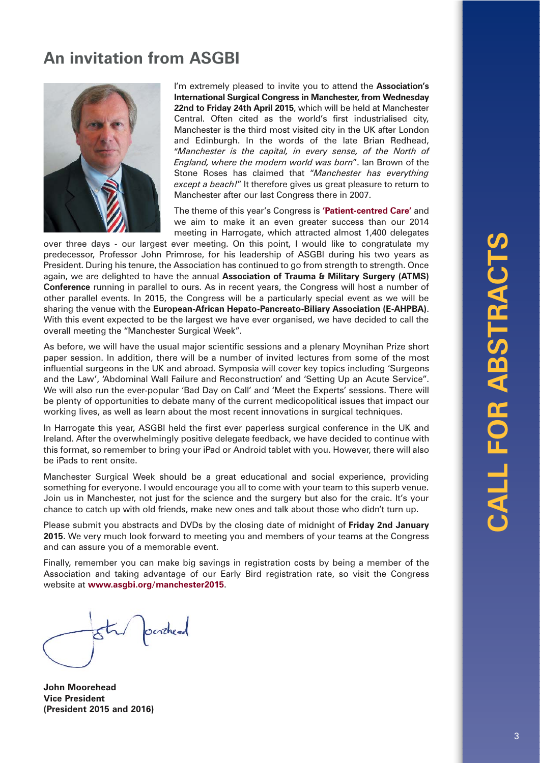# **An invitation from ASGBI**



I'm extremely pleased to invite you to attend the **Association's International Surgical Congress in Manchester, from Wednesday 22nd to Friday 24th April 2015**, which will be held at Manchester Central. Often cited as the world's first industrialised city, Manchester is the third most visited city in the UK after London and Edinburgh. In the words of the late Brian Redhead, "*Manchester is the capital, in every sense, of the North of England, where the modern world was born*". Ian Brown of the Stone Roses has claimed that "*Manchester has everything except a beach!*" It therefore gives us great pleasure to return to Manchester after our last Congress there in 2007.

The theme of this year's Congress is **'Patient-centred Care'** and we aim to make it an even greater success than our 2014 meeting in Harrogate, which attracted almost 1,400 delegates

over three days - our largest ever meeting. On this point, I would like to congratulate my predecessor, Professor John Primrose, for his leadership of ASGBI during his two years as President. During his tenure, the Association has continued to go from strength to strength. Once again, we are delighted to have the annual **Association of Trauma & Military Surgery (ATMS) Conference** running in parallel to ours. As in recent years, the Congress will host a number of other parallel events. In 2015, the Congress will be a particularly special event as we will be sharing the venue with the **European-African Hepato-Pancreato-Biliary Association (E-AHPBA)**. With this event expected to be the largest we have ever organised, we have decided to call the overall meeting the "Manchester Surgical Week".

As before, we will have the usual major scientific sessions and a plenary Moynihan Prize short paper session. In addition, there will be a number of invited lectures from some of the most influential surgeons in the UK and abroad. Symposia will cover key topics including 'Surgeons and the Law', 'Abdominal Wall Failure and Reconstruction' and 'Setting Up an Acute Service". We will also run the ever-popular 'Bad Day on Call' and 'Meet the Experts' sessions. There will be plenty of opportunities to debate many of the current medicopolitical issues that impact our working lives, as well as learn about the most recent innovations in surgical techniques.

In Harrogate this year, ASGBI held the first ever paperless surgical conference in the UK and Ireland. After the overwhelmingly positive delegate feedback, we have decided to continue with this format, so remember to bring your iPad or Android tablet with you. However, there will also be iPads to rent onsite.

Manchester Surgical Week should be a great educational and social experience, providing something for everyone. I would encourage you all to come with your team to this superb venue. Join us in Manchester, not just for the science and the surgery but also for the craic. It's your chance to catch up with old friends, make new ones and talk about those who didn't turn up.

Please submit you abstracts and DVDs by the closing date of midnight of **Friday 2nd January 2015**. We very much look forward to meeting you and members of your teams at the Congress and can assure you of a memorable event.

Finally, remember you can make big savings in registration costs by being a member of the Association and taking advantage of our Early Bird registration rate, so visit the Congress website at **www.asgbi.org/manchester2015**.

star posted

**John Moorehead Vice President (President 2015 and 2016)**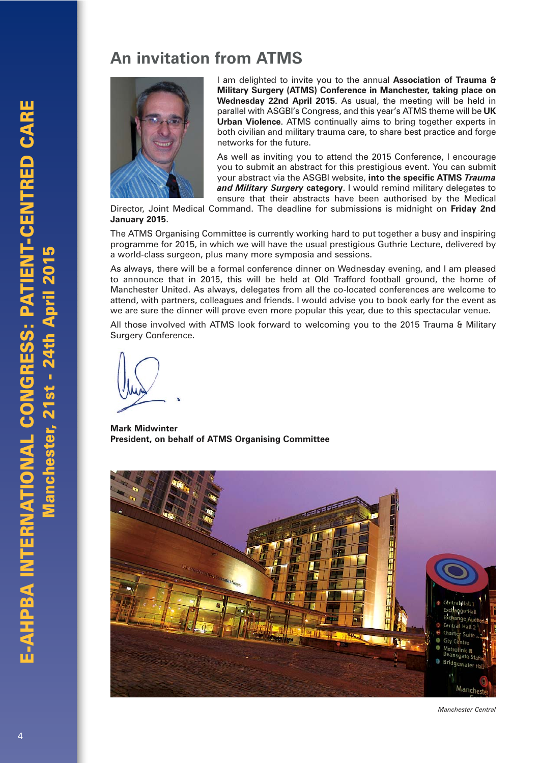# **An invitation from ATMS**



I am delighted to invite you to the annual **Association of Trauma & Military Surgery (ATMS) Conference in Manchester, taking place on Wednesday 22nd April 2015**. As usual, the meeting will be held in parallel with ASGBI's Congress, and this year's ATMS theme will be **UK Urban Violence**. ATMS continually aims to bring together experts in both civilian and military trauma care, to share best practice and forge networks for the future.

As well as inviting you to attend the 2015 Conference, I encourage you to submit an abstract for this prestigious event. You can submit your abstract via the ASGBI website, **into the specific ATMS** *Trauma and Military Surgery* **category**. I would remind military delegates to ensure that their abstracts have been authorised by the Medical

Director, Joint Medical Command. The deadline for submissions is midnight on **Friday 2nd January 2015**.

The ATMS Organising Committee is currently working hard to put together a busy and inspiring programme for 2015, in which we will have the usual prestigious Guthrie Lecture, delivered by a world-class surgeon, plus many more symposia and sessions.

As always, there will be a formal conference dinner on Wednesday evening, and I am pleased to announce that in 2015, this will be held at Old Trafford football ground, the home of Manchester United. As always, delegates from all the co-located conferences are welcome to attend, with partners, colleagues and friends. I would advise you to book early for the event as we are sure the dinner will prove even more popular this year, due to this spectacular venue.

All those involved with ATMS look forward to welcoming you to the 2015 Trauma & Military Surgery Conference.

**Mark Midwinter President, on behalf of ATMS Organising Committee**



*Manchester Central*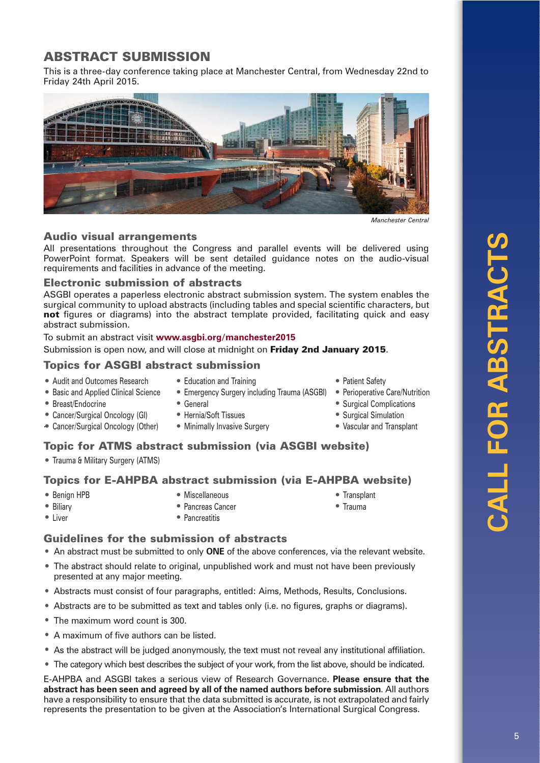### **ABSTRACT SUBMISSION**

This is a three-day conference taking place at Manchester Central, from Wednesday 22nd to Friday 24th April 2015.



*Manchester Central*

#### **Audio visual arrangements**

All presentations throughout the Congress and parallel events will be delivered using PowerPoint format. Speakers will be sent detailed guidance notes on the audio-visual requirements and facilities in advance of the meeting.

#### **Electronic submission of abstracts**

ASGBI operates a paperless electronic abstract submission system. The system enables the surgical community to upload abstracts (including tables and special scientific characters, but **not** figures or diagrams) into the abstract template provided, facilitating quick and easy abstract submission.

To submit an abstract visit **www.asgbi.org/manchester2015**

Submission is open now, and will close at midnight on **Friday 2nd January 2015**.

#### **Topics for ASGBI abstract submission**

- Audit and Outcomes Research • Basic and Applied Clinical Science
- Education and Training
- Emergency Surgery including Trauma (ASGBI)
- Breast/Endocrine
- Cancer/Surgical Oncology (GI)
- . Cancer/Surgical Oncology (Other)
- General
- Hernia/Soft Tissues
- Minimally Invasive Surgery
- Patient Safety
- Perioperative Care/Nutrition
- Surgical Complications
- Surgical Simulation
- Vascular and Transplant

#### **Topic for ATMS abstract submission (via ASGBI website)**

• Trauma & Military Surgery (ATMS)

#### **Topics for E-AHPBA abstract submission (via E-AHPBA website)**

• Benign HPB

• Miscellaneous • Pancreas Cancer

- Biliary • Liver
- -
- Transplant
- Trauma
- 
- Pancreatitis

# **Guidelines for the submission of abstracts**

- An abstract must be submitted to only **ONE** of the above conferences, via the relevant website.
- The abstract should relate to original, unpublished work and must not have been previously presented at any major meeting.
- Abstracts must consist of four paragraphs, entitled: Aims, Methods, Results, Conclusions.
- Abstracts are to be submitted as text and tables only (i.e. no figures, graphs or diagrams).
- The maximum word count is 300.
- A maximum of five authors can be listed.
- As the abstract will be judged anonymously, the text must not reveal any institutional affiliation.
- The category which best describes the subject of your work, from the list above, should be indicated.

E-AHPBA and ASGBI takes a serious view of Research Governance. **Please ensure that the abstract has been seen and agreed by all of the named authors before submission**. All authors have a responsibility to ensure that the data submitted is accurate, is not extrapolated and fairly represents the presentation to be given at the Association's International Surgical Congress.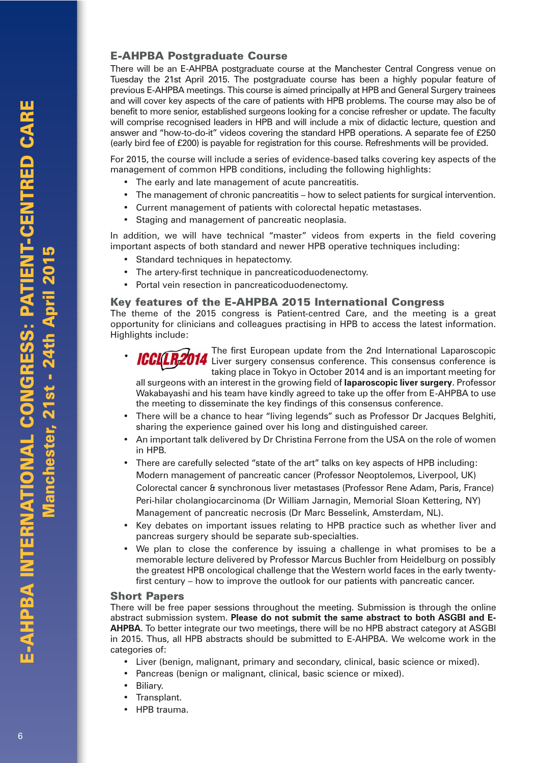#### **E-AHPBA Postgraduate Course**

There will be an E-AHPBA postgraduate course at the Manchester Central Congress venue on Tuesday the 21st April 2015. The postgraduate course has been a highly popular feature of previous E-AHPBA meetings. This course is aimed principally at HPB and General Surgery trainees and will cover key aspects of the care of patients with HPB problems. The course may also be of benefit to more senior, established surgeons looking for a concise refresher or update. The faculty will comprise recognised leaders in HPB and will include a mix of didactic lecture, question and answer and "how-to-do-it" videos covering the standard HPB operations. A separate fee of £250 (early bird fee of £200) is payable for registration for this course. Refreshments will be provided.

For 2015, the course will include a series of evidence-based talks covering key aspects of the management of common HPB conditions, including the following highlights:

- The early and late management of acute pancreatitis.
- The management of chronic pancreatitis how to select patients for surgical intervention.
- Current management of patients with colorectal hepatic metastases.
- Staging and management of pancreatic neoplasia.

In addition, we will have technical "master" videos from experts in the field covering important aspects of both standard and newer HPB operative techniques including:

- Standard techniques in hepatectomy.
- The artery-first technique in pancreaticoduodenectomy.
- Portal vein resection in pancreaticoduodenectomy.

#### **Key features of the E-AHPBA 2015 International Congress**

The theme of the 2015 congress is Patient-centred Care, and the meeting is a great opportunity for clinicians and colleagues practising in HPB to access the latest information. Highlights include:

The first European update from the 2nd International Laparoscopic ICCLER2014 The first European update from the 2nd international Laparoscopic<br>ICCLER2014 Liver surgery consensus conference. This consensus conference is taking place in Tokyo in October 2014 and is an important meeting for •

all surgeons with an interest in the growing field of **laparoscopic liver surgery**. Professor Wakabayashi and his team have kindly agreed to take up the offer from E-AHPBA to use the meeting to disseminate the key findings of this consensus conference.

- There will be a chance to hear "living legends" such as Professor Dr Jacques Belghiti, sharing the experience gained over his long and distinguished career.
- An important talk delivered by Dr Christina Ferrone from the USA on the role of women in HPB.
- There are carefully selected "state of the art" talks on key aspects of HPB including: Modern management of pancreatic cancer (Professor Neoptolemos, Liverpool, UK) Colorectal cancer & synchronous liver metastases (Professor Rene Adam, Paris, France) Peri-hilar cholangiocarcinoma (Dr William Jarnagin, Memorial Sloan Kettering, NY) Management of pancreatic necrosis (Dr Marc Besselink, Amsterdam, NL).
- Key debates on important issues relating to HPB practice such as whether liver and pancreas surgery should be separate sub-specialties.
- We plan to close the conference by issuing a challenge in what promises to be a memorable lecture delivered by Professor Marcus Buchler from Heidelburg on possibly the greatest HPB oncological challenge that the Western world faces in the early twentyfirst century – how to improve the outlook for our patients with pancreatic cancer.

#### **Short Papers**

There will be free paper sessions throughout the meeting. Submission is through the online abstract submission system. **Please do not submit the same abstract to both ASGBI and E-AHPBA**. To better integrate our two meetings, there will be no HPB abstract category at ASGBI in 2015. Thus, all HPB abstracts should be submitted to E-AHPBA. We welcome work in the categories of:

- Liver (benign, malignant, primary and secondary, clinical, basic science or mixed).
- Pancreas (benign or malignant, clinical, basic science or mixed).
- Biliary.
- Transplant.
- HPB trauma.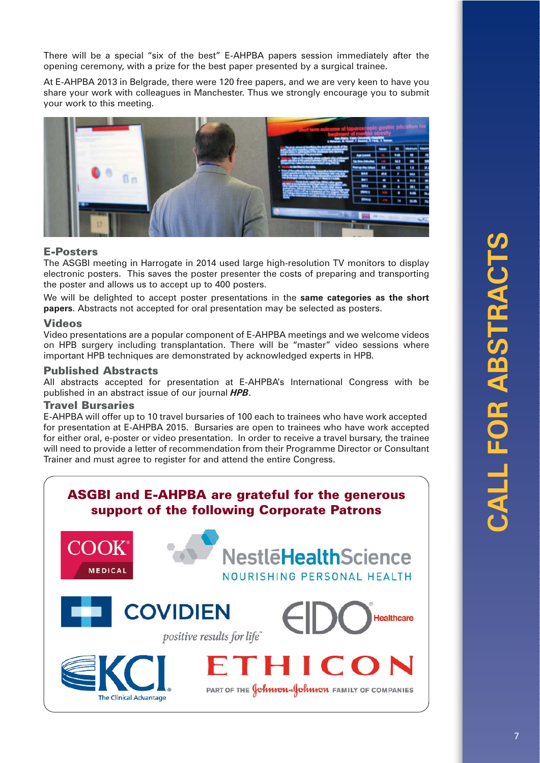There will be a special "six of the best" E-AHPBA papers session immediately after the opening ceremony, with a prize for the best paper presented by a surgical trainee.

At E-AHPBA 2013 in Belgrade, there were 120 free papers, and we are very keen to have you share your work with colleagues in Manchester. Thus we strongly encourage you to submit your work to this meeting.



#### **E-Posters**

The ASGBI meeting in Harrogate in 2014 used large high-resolution TV monitors to display electronic posters. This saves the poster presenter the costs of preparing and transporting the poster and allows us to accept up to 400 posters.

We will be delighted to accept poster presentations in the **same categories as the short papers**. Abstracts not accepted for oral presentation may be selected as posters.

#### **Videos**

Video presentations are a popular component of E-AHPBA meetings and we welcome videos on HPB surgery including transplantation. There will be "master" video sessions where important HPB techniques are demonstrated by acknowledged experts in HPB.

#### **Published Abstracts**

All abstracts accepted for presentation at E-AHPBA's International Congress with be published in an abstract issue of our journal *HPB*.

#### **Travel Bursaries**

E-AHPBA will offer up to 10 travel bursaries of ¤100 each to trainees who have work accepted for presentation at E-AHPBA 2015. Bursaries are open to trainees who have work accepted for either oral, e-poster or video presentation. In order to receive a travel bursary, the trainee will need to provide a letter of recommendation from their Programme Director or Consultant Trainer and must agree to register for and attend the entire Congress.

### **ASGBI and E-AHPBA are grateful for the generous support of the following Corporate Patrons**